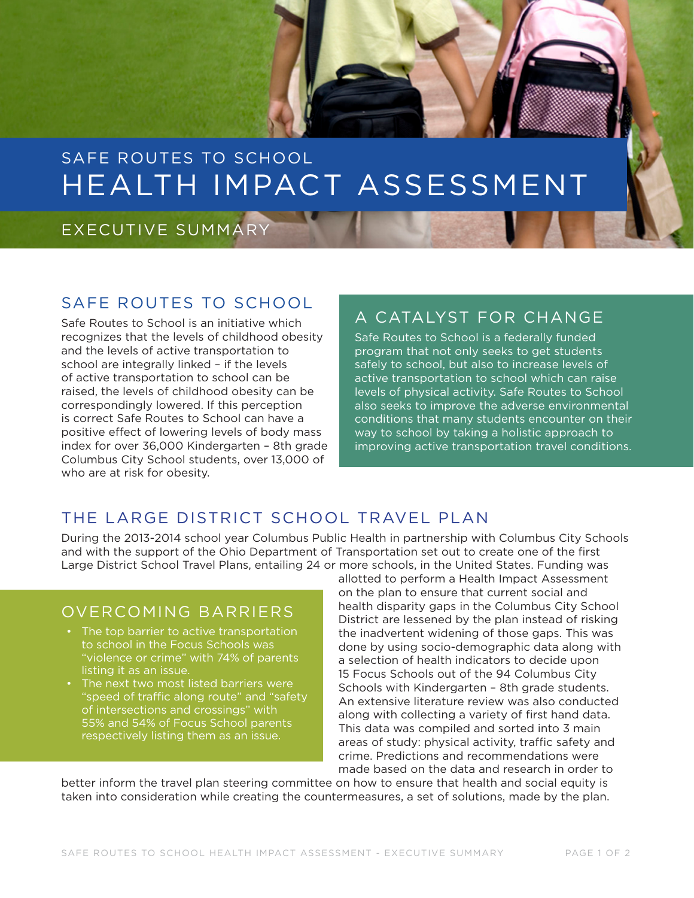# SAFE ROUTES TO SCHOOL HEALTH IMPACT ASSESSMENT

### EXECUTIVE SUMMARY

#### SAFE ROUTES TO SCHOOL

Safe Routes to School is an initiative which recognizes that the levels of childhood obesity and the levels of active transportation to school are integrally linked – if the levels of active transportation to school can be raised, the levels of childhood obesity can be correspondingly lowered. If this perception is correct Safe Routes to School can have a positive effect of lowering levels of body mass index for over 36,000 Kindergarten – 8th grade Columbus City School students, over 13,000 of who are at risk for obesity.

## A CATALYST FOR CHANGE

Safe Routes to School is a federally funded program that not only seeks to get students safely to school, but also to increase levels of active transportation to school which can raise levels of physical activity. Safe Routes to School also seeks to improve the adverse environmental conditions that many students encounter on their way to school by taking a holistic approach to improving active transportation travel conditions.

#### THE LARGE DISTRICT SCHOOL TRAVEL PLAN

During the 2013-2014 school year Columbus Public Health in partnership with Columbus City Schools and with the support of the Ohio Department of Transportation set out to create one of the first Large District School Travel Plans, entailing 24 or more schools, in the United States. Funding was

#### OVERCOMING BARRIERS

- The top barrier to active transportation to school in the Focus Schools was "violence or crime" with 74% of parents listing it as an issue.
- The next two most listed barriers were "speed of traffic along route" and "safety of intersections and crossings" with 55% and 54% of Focus School parents respectively listing them as an issue.

allotted to perform a Health Impact Assessment on the plan to ensure that current social and health disparity gaps in the Columbus City School District are lessened by the plan instead of risking the inadvertent widening of those gaps. This was done by using socio-demographic data along with a selection of health indicators to decide upon 15 Focus Schools out of the 94 Columbus City Schools with Kindergarten – 8th grade students. An extensive literature review was also conducted along with collecting a variety of first hand data. This data was compiled and sorted into 3 main areas of study: physical activity, traffic safety and crime. Predictions and recommendations were made based on the data and research in order to

better inform the travel plan steering committee on how to ensure that health and social equity is taken into consideration while creating the countermeasures, a set of solutions, made by the plan.